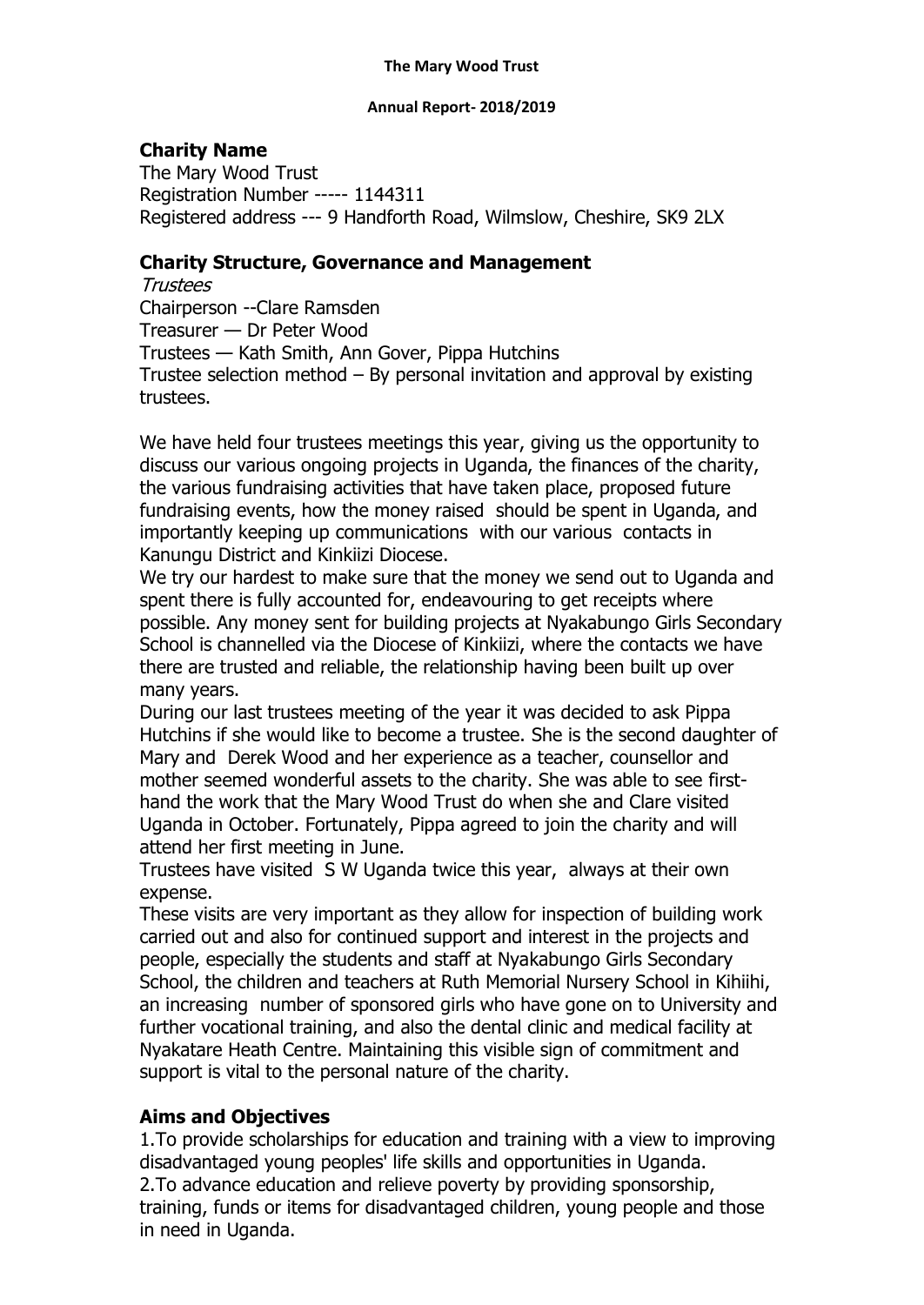#### **Annual Report- 2018/2019**

## **Charity Name**

The Mary Wood Trust Registration Number ----- 1144311 Registered address --- 9 Handforth Road, Wilmslow, Cheshire, SK9 2LX

## **Charity Structure, Governance and Management**

Trustees Chairperson --Clare Ramsden Treasurer — Dr Peter Wood Trustees — Kath Smith, Ann Gover, Pippa Hutchins Trustee selection method – By personal invitation and approval by existing trustees.

We have held four trustees meetings this year, giving us the opportunity to discuss our various ongoing projects in Uganda, the finances of the charity, the various fundraising activities that have taken place, proposed future fundraising events, how the money raised should be spent in Uganda, and importantly keeping up communications with our various contacts in Kanungu District and Kinkiizi Diocese.

We try our hardest to make sure that the money we send out to Uganda and spent there is fully accounted for, endeavouring to get receipts where possible. Any money sent for building projects at Nyakabungo Girls Secondary School is channelled via the Diocese of Kinkiizi, where the contacts we have there are trusted and reliable, the relationship having been built up over many years.

During our last trustees meeting of the year it was decided to ask Pippa Hutchins if she would like to become a trustee. She is the second daughter of Mary and Derek Wood and her experience as a teacher, counsellor and mother seemed wonderful assets to the charity. She was able to see firsthand the work that the Mary Wood Trust do when she and Clare visited Uganda in October. Fortunately, Pippa agreed to join the charity and will attend her first meeting in June.

Trustees have visited S W Uganda twice this year, always at their own expense.

These visits are very important as they allow for inspection of building work carried out and also for continued support and interest in the projects and people, especially the students and staff at Nyakabungo Girls Secondary School, the children and teachers at Ruth Memorial Nursery School in Kihiihi, an increasing number of sponsored girls who have gone on to University and further vocational training, and also the dental clinic and medical facility at Nyakatare Heath Centre. Maintaining this visible sign of commitment and support is vital to the personal nature of the charity.

# **Aims and Objectives**

1.To provide scholarships for education and training with a view to improving disadvantaged young peoples' life skills and opportunities in Uganda. 2.To advance education and relieve poverty by providing sponsorship, training, funds or items for disadvantaged children, young people and those in need in Uganda.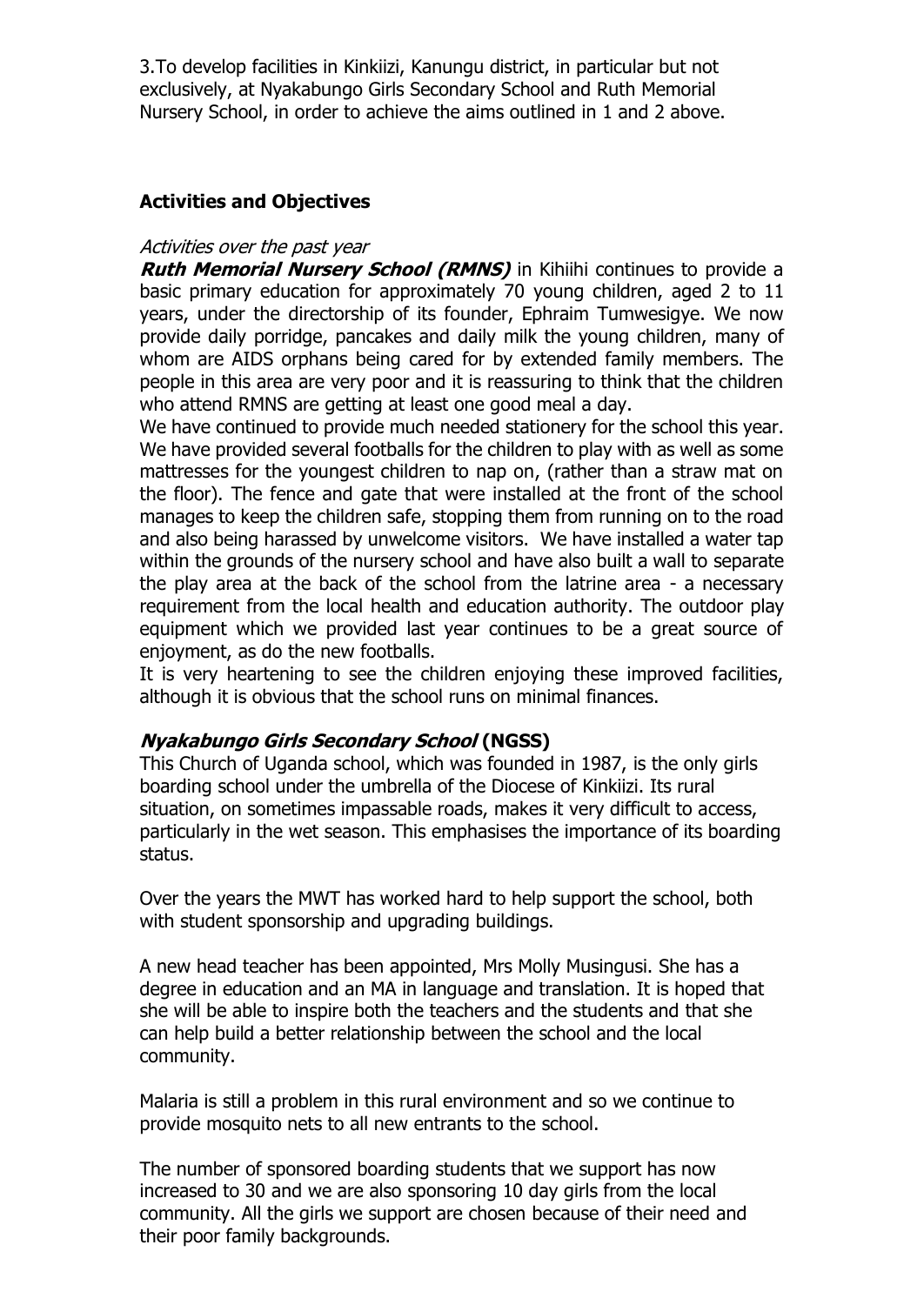3.To develop facilities in Kinkiizi, Kanungu district, in particular but not exclusively, at Nyakabungo Girls Secondary School and Ruth Memorial Nursery School, in order to achieve the aims outlined in 1 and 2 above.

## **Activities and Objectives**

#### Activities over the past year

**Ruth Memorial Nursery School (RMNS)** in Kihiihi continues to provide a basic primary education for approximately 70 young children, aged 2 to 11 years, under the directorship of its founder, Ephraim Tumwesigye. We now provide daily porridge, pancakes and daily milk the young children, many of whom are AIDS orphans being cared for by extended family members. The people in this area are very poor and it is reassuring to think that the children who attend RMNS are getting at least one good meal a day.

We have continued to provide much needed stationery for the school this year. We have provided several footballs for the children to play with as well as some mattresses for the youngest children to nap on, (rather than a straw mat on the floor). The fence and gate that were installed at the front of the school manages to keep the children safe, stopping them from running on to the road and also being harassed by unwelcome visitors. We have installed a water tap within the grounds of the nursery school and have also built a wall to separate the play area at the back of the school from the latrine area - a necessary requirement from the local health and education authority. The outdoor play equipment which we provided last year continues to be a great source of enjoyment, as do the new footballs.

It is very heartening to see the children enjoying these improved facilities, although it is obvious that the school runs on minimal finances.

### **Nyakabungo Girls Secondary School (NGSS)**

This Church of Uganda school, which was founded in 1987, is the only girls boarding school under the umbrella of the Diocese of Kinkiizi. Its rural situation, on sometimes impassable roads, makes it very difficult to access, particularly in the wet season. This emphasises the importance of its boarding status.

Over the years the MWT has worked hard to help support the school, both with student sponsorship and upgrading buildings.

A new head teacher has been appointed, Mrs Molly Musingusi. She has a degree in education and an MA in language and translation. It is hoped that she will be able to inspire both the teachers and the students and that she can help build a better relationship between the school and the local community.

Malaria is still a problem in this rural environment and so we continue to provide mosquito nets to all new entrants to the school.

The number of sponsored boarding students that we support has now increased to 30 and we are also sponsoring 10 day girls from the local community. All the girls we support are chosen because of their need and their poor family backgrounds.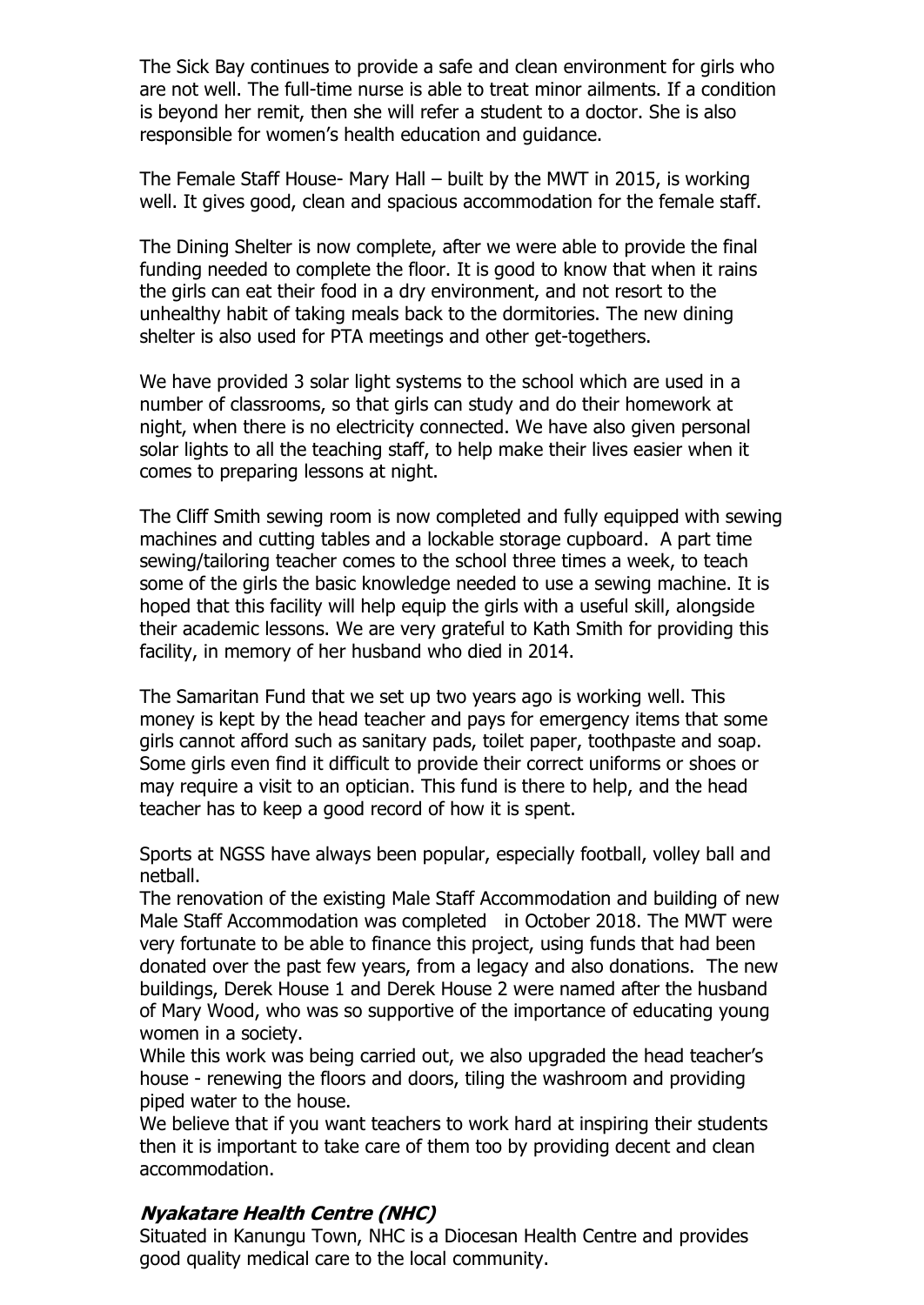The Sick Bay continues to provide a safe and clean environment for girls who are not well. The full-time nurse is able to treat minor ailments. If a condition is beyond her remit, then she will refer a student to a doctor. She is also responsible for women's health education and guidance.

The Female Staff House- Mary Hall – built by the MWT in 2015, is working well. It gives good, clean and spacious accommodation for the female staff.

The Dining Shelter is now complete, after we were able to provide the final funding needed to complete the floor. It is good to know that when it rains the girls can eat their food in a dry environment, and not resort to the unhealthy habit of taking meals back to the dormitories. The new dining shelter is also used for PTA meetings and other get-togethers.

We have provided 3 solar light systems to the school which are used in a number of classrooms, so that girls can study and do their homework at night, when there is no electricity connected. We have also given personal solar lights to all the teaching staff, to help make their lives easier when it comes to preparing lessons at night.

The Cliff Smith sewing room is now completed and fully equipped with sewing machines and cutting tables and a lockable storage cupboard. A part time sewing/tailoring teacher comes to the school three times a week, to teach some of the girls the basic knowledge needed to use a sewing machine. It is hoped that this facility will help equip the girls with a useful skill, alongside their academic lessons. We are very grateful to Kath Smith for providing this facility, in memory of her husband who died in 2014.

The Samaritan Fund that we set up two years ago is working well. This money is kept by the head teacher and pays for emergency items that some girls cannot afford such as sanitary pads, toilet paper, toothpaste and soap. Some girls even find it difficult to provide their correct uniforms or shoes or may require a visit to an optician. This fund is there to help, and the head teacher has to keep a good record of how it is spent.

Sports at NGSS have always been popular, especially football, volley ball and netball.

The renovation of the existing Male Staff Accommodation and building of new Male Staff Accommodation was completed in October 2018. The MWT were very fortunate to be able to finance this project, using funds that had been donated over the past few years, from a legacy and also donations. The new buildings, Derek House 1 and Derek House 2 were named after the husband of Mary Wood, who was so supportive of the importance of educating young women in a society.

While this work was being carried out, we also upgraded the head teacher's house - renewing the floors and doors, tiling the washroom and providing piped water to the house.

We believe that if you want teachers to work hard at inspiring their students then it is important to take care of them too by providing decent and clean accommodation.

# **Nyakatare Health Centre (NHC)**

Situated in Kanungu Town, NHC is a Diocesan Health Centre and provides good quality medical care to the local community.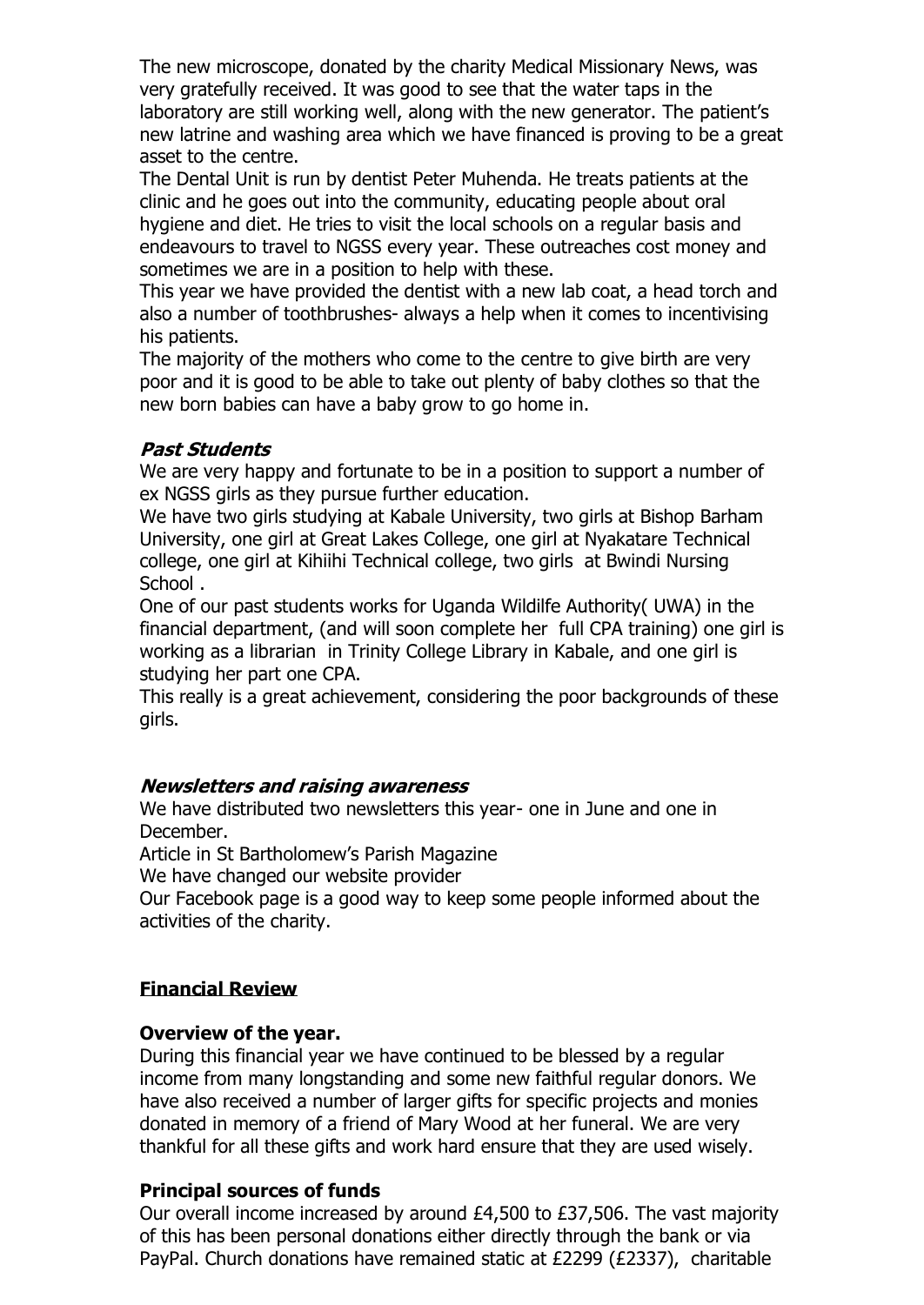The new microscope, donated by the charity Medical Missionary News, was very gratefully received. It was good to see that the water taps in the laboratory are still working well, along with the new generator. The patient's new latrine and washing area which we have financed is proving to be a great asset to the centre.

The Dental Unit is run by dentist Peter Muhenda. He treats patients at the clinic and he goes out into the community, educating people about oral hygiene and diet. He tries to visit the local schools on a regular basis and endeavours to travel to NGSS every year. These outreaches cost money and sometimes we are in a position to help with these.

This year we have provided the dentist with a new lab coat, a head torch and also a number of toothbrushes- always a help when it comes to incentivising his patients.

The majority of the mothers who come to the centre to give birth are very poor and it is good to be able to take out plenty of baby clothes so that the new born babies can have a baby grow to go home in.

### **Past Students**

We are very happy and fortunate to be in a position to support a number of ex NGSS girls as they pursue further education.

We have two girls studying at Kabale University, two girls at Bishop Barham University, one girl at Great Lakes College, one girl at Nyakatare Technical college, one girl at Kihiihi Technical college, two girls at Bwindi Nursing School .

One of our past students works for Uganda Wildilfe Authority( UWA) in the financial department, (and will soon complete her full CPA training) one girl is working as a librarian in Trinity College Library in Kabale, and one girl is studying her part one CPA.

This really is a great achievement, considering the poor backgrounds of these girls.

### **Newsletters and raising awareness**

We have distributed two newsletters this year- one in June and one in December.

Article in St Bartholomew's Parish Magazine

We have changed our website provider

Our Facebook page is a good way to keep some people informed about the activities of the charity.

### **Financial Review**

### **Overview of the year.**

During this financial year we have continued to be blessed by a regular income from many longstanding and some new faithful regular donors. We have also received a number of larger gifts for specific projects and monies donated in memory of a friend of Mary Wood at her funeral. We are very thankful for all these gifts and work hard ensure that they are used wisely.

### **Principal sources of funds**

Our overall income increased by around £4,500 to £37,506. The vast majority of this has been personal donations either directly through the bank or via PayPal. Church donations have remained static at £2299 (£2337), charitable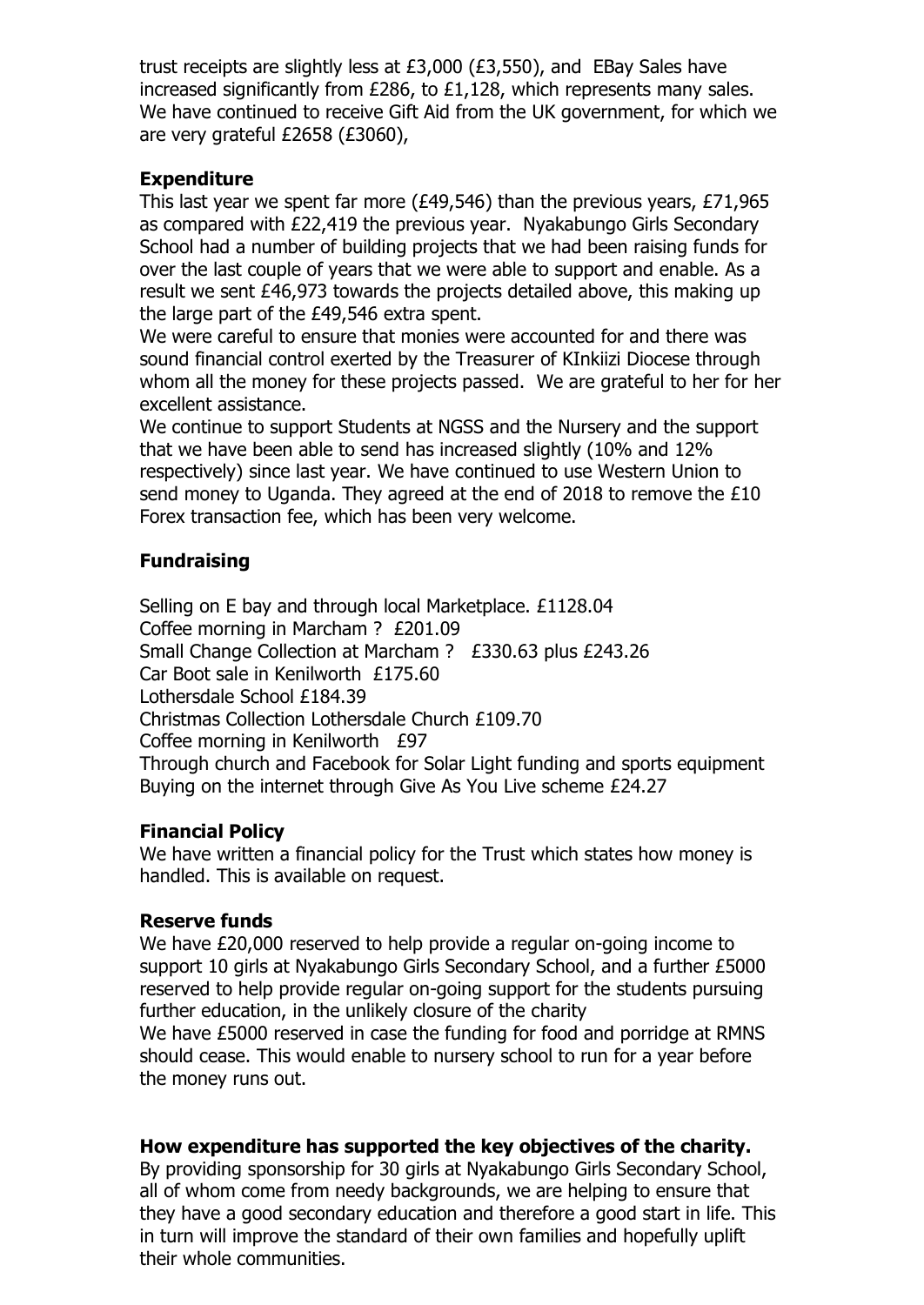trust receipts are slightly less at £3,000 (£3,550), and EBay Sales have increased significantly from £286, to £1,128, which represents many sales. We have continued to receive Gift Aid from the UK government, for which we are very grateful £2658 (£3060),

## **Expenditure**

This last year we spent far more (£49,546) than the previous years, £71,965 as compared with £22,419 the previous year. Nyakabungo Girls Secondary School had a number of building projects that we had been raising funds for over the last couple of years that we were able to support and enable. As a result we sent £46,973 towards the projects detailed above, this making up the large part of the £49,546 extra spent.

We were careful to ensure that monies were accounted for and there was sound financial control exerted by the Treasurer of KInkiizi Diocese through whom all the money for these projects passed. We are grateful to her for her excellent assistance.

We continue to support Students at NGSS and the Nursery and the support that we have been able to send has increased slightly (10% and 12% respectively) since last year. We have continued to use Western Union to send money to Uganda. They agreed at the end of 2018 to remove the £10 Forex transaction fee, which has been very welcome.

# **Fundraising**

Selling on E bay and through local Marketplace. £1128.04 Coffee morning in Marcham ? £201.09 Small Change Collection at Marcham ? £330.63 plus £243.26 Car Boot sale in Kenilworth £175.60 Lothersdale School £184.39 Christmas Collection Lothersdale Church £109.70 Coffee morning in Kenilworth £97 Through church and Facebook for Solar Light funding and sports equipment Buying on the internet through Give As You Live scheme £24.27

### **Financial Policy**

We have written a financial policy for the Trust which states how money is handled. This is available on request.

### **Reserve funds**

We have £20,000 reserved to help provide a regular on-going income to support 10 girls at Nyakabungo Girls Secondary School, and a further £5000 reserved to help provide regular on-going support for the students pursuing further education, in the unlikely closure of the charity We have £5000 reserved in case the funding for food and porridge at RMNS should cease. This would enable to nursery school to run for a year before the money runs out.

### **How expenditure has supported the key objectives of the charity.**

By providing sponsorship for 30 girls at Nyakabungo Girls Secondary School, all of whom come from needy backgrounds, we are helping to ensure that they have a good secondary education and therefore a good start in life. This in turn will improve the standard of their own families and hopefully uplift their whole communities.